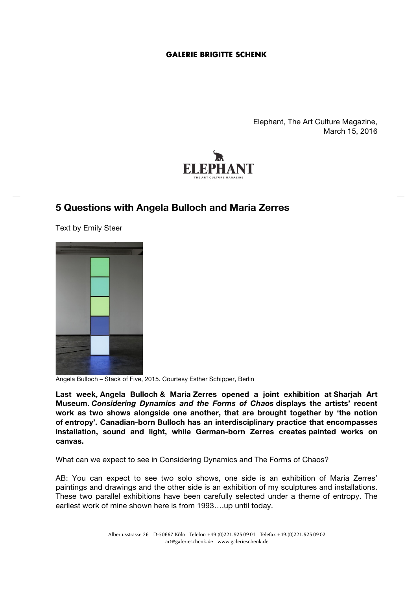Elephant, The Art Culture Magazine, March 15, 2016



# **5 Questions with Angela Bulloch and Maria Zerres**

Text by Emily Steer



Angela Bulloch – Stack of Five, 2015. Courtesy Esther Schipper, Berlin

**Last week, Angela Bulloch & Maria Zerres opened a joint exhibition at Sharjah Art Museum.** *Considering Dynamics and the Forms of Chaos* **displays the artists' recent work as two shows alongside one another, that are brought together by 'the notion of entropy'. Canadian-born Bulloch has an interdisciplinary practice that encompasses installation, sound and light, while German-born Zerres creates painted works on canvas.**

What can we expect to see in Considering Dynamics and The Forms of Chaos?

AB: You can expect to see two solo shows, one side is an exhibition of Maria Zerres' paintings and drawings and the other side is an exhibition of my sculptures and installations. These two parallel exhibitions have been carefully selected under a theme of entropy. The earliest work of mine shown here is from 1993....up until today.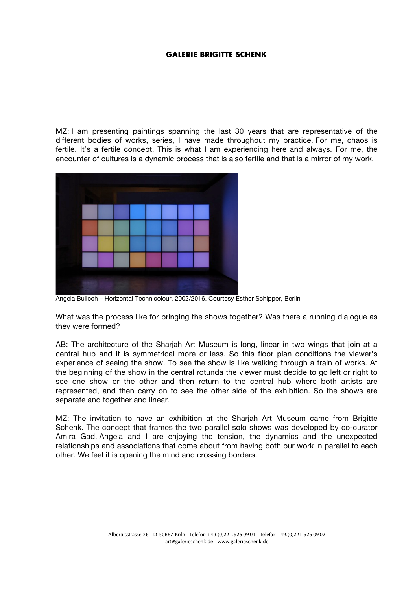MZ: I am presenting paintings spanning the last 30 years that are representative of the different bodies of works, series, I have made throughout my practice. For me, chaos is fertile. It's a fertile concept. This is what I am experiencing here and always. For me, the encounter of cultures is a dynamic process that is also fertile and that is a mirror of my work.



Angela Bulloch – Horizontal Technicolour, 2002/2016. Courtesy Esther Schipper, Berlin

What was the process like for bringing the shows together? Was there a running dialogue as they were formed?

AB: The architecture of the Sharjah Art Museum is long, linear in two wings that join at a central hub and it is symmetrical more or less. So this floor plan conditions the viewer's experience of seeing the show. To see the show is like walking through a train of works. At the beginning of the show in the central rotunda the viewer must decide to go left or right to see one show or the other and then return to the central hub where both artists are represented, and then carry on to see the other side of the exhibition. So the shows are separate and together and linear.

MZ: The invitation to have an exhibition at the Sharjah Art Museum came from Brigitte Schenk. The concept that frames the two parallel solo shows was developed by co-curator Amira Gad. Angela and I are enjoying the tension, the dynamics and the unexpected relationships and associations that come about from having both our work in parallel to each other. We feel it is opening the mind and crossing borders.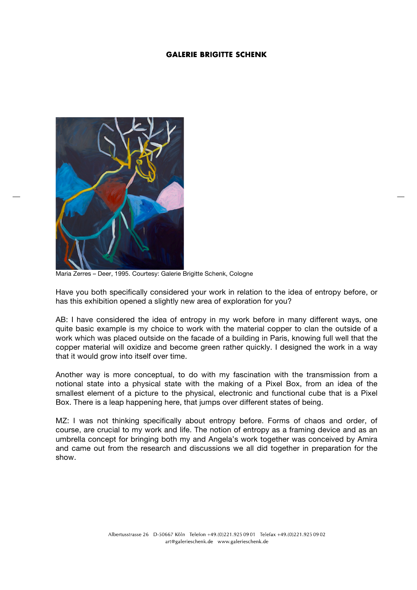

Maria Zerres – Deer, 1995. Courtesy: Galerie Brigitte Schenk, Cologne

Have you both specifically considered your work in relation to the idea of entropy before, or has this exhibition opened a slightly new area of exploration for you?

AB: I have considered the idea of entropy in my work before in many different ways, one quite basic example is my choice to work with the material copper to clan the outside of a work which was placed outside on the facade of a building in Paris, knowing full well that the copper material will oxidize and become green rather quickly. I designed the work in a way that it would grow into itself over time.

Another way is more conceptual, to do with my fascination with the transmission from a notional state into a physical state with the making of a Pixel Box, from an idea of the smallest element of a picture to the physical, electronic and functional cube that is a Pixel Box. There is a leap happening here, that jumps over different states of being.

MZ: I was not thinking specifically about entropy before. Forms of chaos and order, of course, are crucial to my work and life. The notion of entropy as a framing device and as an umbrella concept for bringing both my and Angela's work together was conceived by Amira and came out from the research and discussions we all did together in preparation for the show.